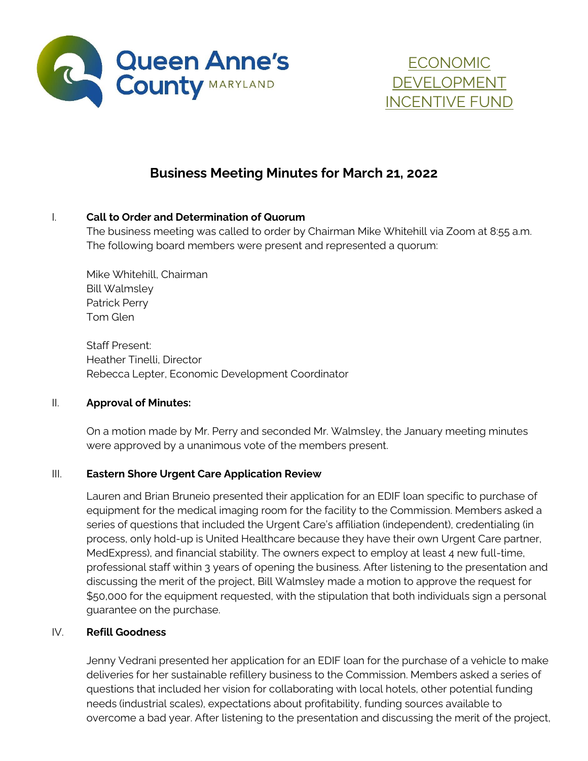



# **Business Meeting Minutes for March 21, 2022**

### I. **Call to Order and Determination of Quorum**

The business meeting was called to order by Chairman Mike Whitehill via Zoom at 8:55 a.m. The following board members were present and represented a quorum:

Mike Whitehill, Chairman Bill Walmsley Patrick Perry Tom Glen

Staff Present: Heather Tinelli, Director Rebecca Lepter, Economic Development Coordinator

#### II. **Approval of Minutes:**

On a motion made by Mr. Perry and seconded Mr. Walmsley, the January meeting minutes were approved by a unanimous vote of the members present.

## III. **Eastern Shore Urgent Care Application Review**

Lauren and Brian Bruneio presented their application for an EDIF loan specific to purchase of equipment for the medical imaging room for the facility to the Commission. Members asked a series of questions that included the Urgent Care's affiliation (independent), credentialing (in process, only hold-up is United Healthcare because they have their own Urgent Care partner, MedExpress), and financial stability. The owners expect to employ at least 4 new full-time, professional staff within 3 years of opening the business. After listening to the presentation and discussing the merit of the project, Bill Walmsley made a motion to approve the request for \$50,000 for the equipment requested, with the stipulation that both individuals sign a personal guarantee on the purchase.

#### IV. **Refill Goodness**

Jenny Vedrani presented her application for an EDIF loan for the purchase of a vehicle to make deliveries for her sustainable refillery business to the Commission. Members asked a series of questions that included her vision for collaborating with local hotels, other potential funding needs (industrial scales), expectations about profitability, funding sources available to overcome a bad year. After listening to the presentation and discussing the merit of the project,